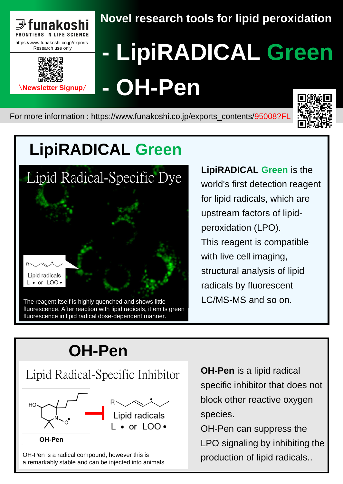



## **Novel research tools for lipid peroxidation**

# **- [LipiRADICAL](https://www.funakoshi.co.jp/exports_contents/95008?FL) Green - OH-Pen**

For more information : https://www.funakoshi.co.jp/exports\_contents/95008?FL



# **LipiRADICAL Green**



fluorescence. After reaction with lipid radicals, it emits green fluorescence in lipid radical dose-dependent manner.

**LipiRADICAL Green** is the world's first detection reagent for lipid radicals, which are upstream factors of lipidperoxidation (LPO). This reagent is compatible with live cell imaging, structural analysis of lipid radicals by fluorescent

## **[OH-Pen](https://www.funakoshi.co.jp/exports_contents/95008?FL)**

# [Lipid Radical-Specific Inhibitor](https://www.funakoshi.co.jp/exports_contents/95008?FL)



OH-Pen

OH-Pen is a radical compound, however this is a remarkably stable and can be injected into animals.

**OH-Pen** is a lipid radical specific inhibitor that does not block other reactive oxygen species.

OH-Pen can suppress the LPO signaling by inhibiting the production of lipid radicals..